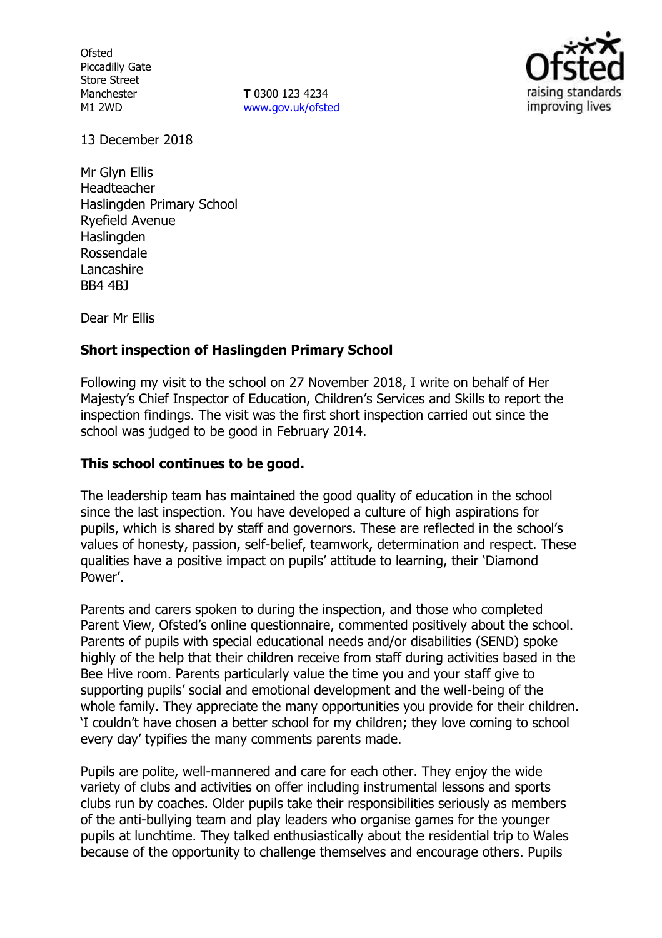**Ofsted** Piccadilly Gate Store Street Manchester M1 2WD

**T** 0300 123 4234 www.gov.uk/ofsted



13 December 2018

Mr Glyn Ellis Headteacher Haslingden Primary School Ryefield Avenue Haslingden Rossendale **Lancashire** BB4 4BJ

Dear Mr Ellis

# **Short inspection of Haslingden Primary School**

Following my visit to the school on 27 November 2018, I write on behalf of Her Majesty's Chief Inspector of Education, Children's Services and Skills to report the inspection findings. The visit was the first short inspection carried out since the school was judged to be good in February 2014.

## **This school continues to be good.**

The leadership team has maintained the good quality of education in the school since the last inspection. You have developed a culture of high aspirations for pupils, which is shared by staff and governors. These are reflected in the school's values of honesty, passion, self-belief, teamwork, determination and respect. These qualities have a positive impact on pupils' attitude to learning, their 'Diamond Power'.

Parents and carers spoken to during the inspection, and those who completed Parent View, Ofsted's online questionnaire, commented positively about the school. Parents of pupils with special educational needs and/or disabilities (SEND) spoke highly of the help that their children receive from staff during activities based in the Bee Hive room. Parents particularly value the time you and your staff give to supporting pupils' social and emotional development and the well-being of the whole family. They appreciate the many opportunities you provide for their children. 'I couldn't have chosen a better school for my children; they love coming to school every day' typifies the many comments parents made.

Pupils are polite, well-mannered and care for each other. They enjoy the wide variety of clubs and activities on offer including instrumental lessons and sports clubs run by coaches. Older pupils take their responsibilities seriously as members of the anti-bullying team and play leaders who organise games for the younger pupils at lunchtime. They talked enthusiastically about the residential trip to Wales because of the opportunity to challenge themselves and encourage others. Pupils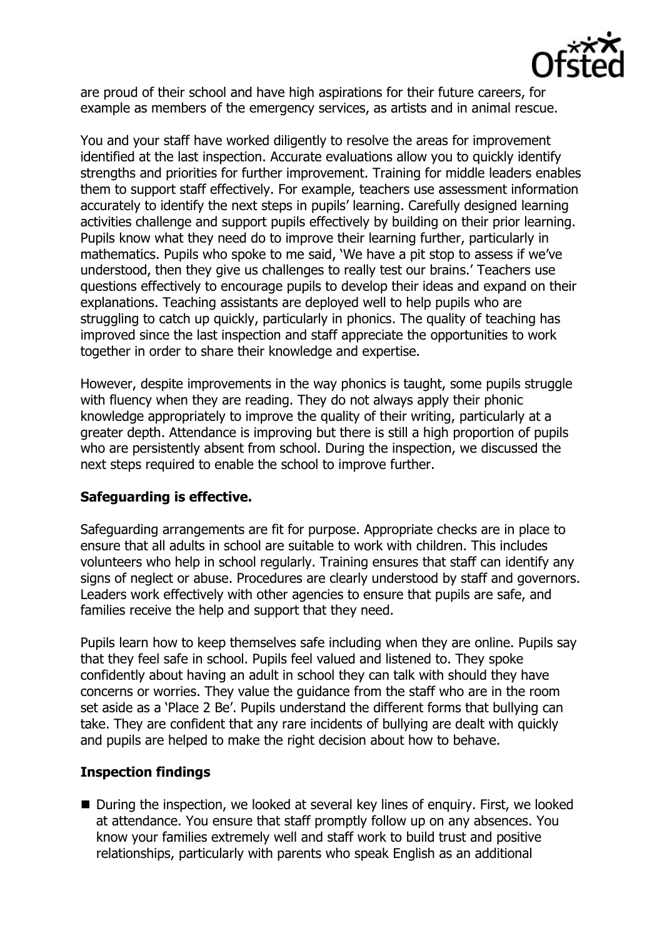

are proud of their school and have high aspirations for their future careers, for example as members of the emergency services, as artists and in animal rescue.

You and your staff have worked diligently to resolve the areas for improvement identified at the last inspection. Accurate evaluations allow you to quickly identify strengths and priorities for further improvement. Training for middle leaders enables them to support staff effectively. For example, teachers use assessment information accurately to identify the next steps in pupils' learning. Carefully designed learning activities challenge and support pupils effectively by building on their prior learning. Pupils know what they need do to improve their learning further, particularly in mathematics. Pupils who spoke to me said, 'We have a pit stop to assess if we've understood, then they give us challenges to really test our brains.' Teachers use questions effectively to encourage pupils to develop their ideas and expand on their explanations. Teaching assistants are deployed well to help pupils who are struggling to catch up quickly, particularly in phonics. The quality of teaching has improved since the last inspection and staff appreciate the opportunities to work together in order to share their knowledge and expertise.

However, despite improvements in the way phonics is taught, some pupils struggle with fluency when they are reading. They do not always apply their phonic knowledge appropriately to improve the quality of their writing, particularly at a greater depth. Attendance is improving but there is still a high proportion of pupils who are persistently absent from school. During the inspection, we discussed the next steps required to enable the school to improve further.

## **Safeguarding is effective.**

Safeguarding arrangements are fit for purpose. Appropriate checks are in place to ensure that all adults in school are suitable to work with children. This includes volunteers who help in school regularly. Training ensures that staff can identify any signs of neglect or abuse. Procedures are clearly understood by staff and governors. Leaders work effectively with other agencies to ensure that pupils are safe, and families receive the help and support that they need.

Pupils learn how to keep themselves safe including when they are online. Pupils say that they feel safe in school. Pupils feel valued and listened to. They spoke confidently about having an adult in school they can talk with should they have concerns or worries. They value the guidance from the staff who are in the room set aside as a 'Place 2 Be'. Pupils understand the different forms that bullying can take. They are confident that any rare incidents of bullying are dealt with quickly and pupils are helped to make the right decision about how to behave.

# **Inspection findings**

■ During the inspection, we looked at several key lines of enguiry. First, we looked at attendance. You ensure that staff promptly follow up on any absences. You know your families extremely well and staff work to build trust and positive relationships, particularly with parents who speak English as an additional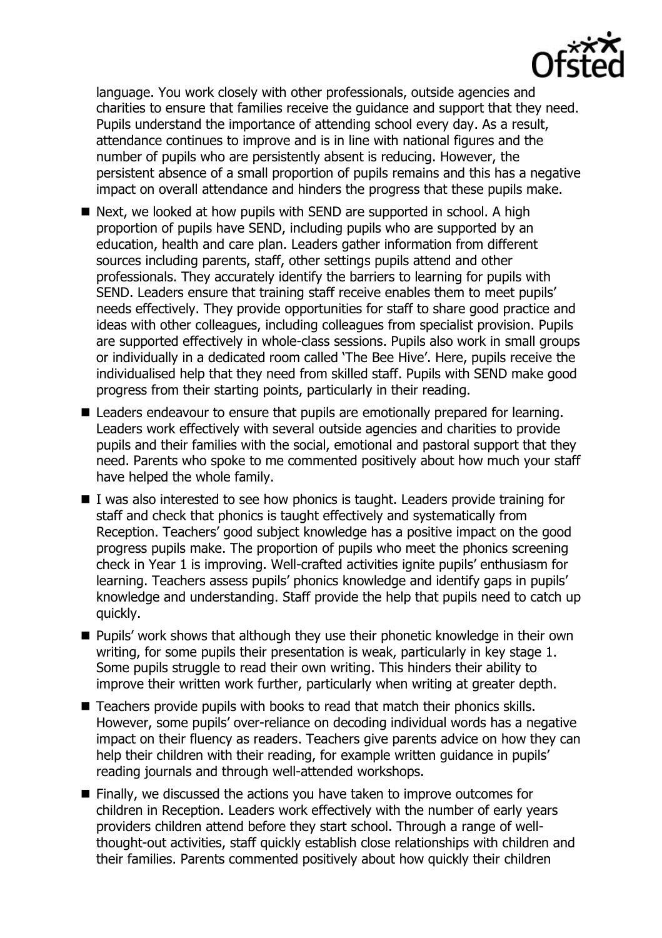

language. You work closely with other professionals, outside agencies and charities to ensure that families receive the guidance and support that they need. Pupils understand the importance of attending school every day. As a result, attendance continues to improve and is in line with national figures and the number of pupils who are persistently absent is reducing. However, the persistent absence of a small proportion of pupils remains and this has a negative impact on overall attendance and hinders the progress that these pupils make.

- Next, we looked at how pupils with SEND are supported in school. A high proportion of pupils have SEND, including pupils who are supported by an education, health and care plan. Leaders gather information from different sources including parents, staff, other settings pupils attend and other professionals. They accurately identify the barriers to learning for pupils with SEND. Leaders ensure that training staff receive enables them to meet pupils' needs effectively. They provide opportunities for staff to share good practice and ideas with other colleagues, including colleagues from specialist provision. Pupils are supported effectively in whole-class sessions. Pupils also work in small groups or individually in a dedicated room called 'The Bee Hive'. Here, pupils receive the individualised help that they need from skilled staff. Pupils with SEND make good progress from their starting points, particularly in their reading.
- Leaders endeavour to ensure that pupils are emotionally prepared for learning. Leaders work effectively with several outside agencies and charities to provide pupils and their families with the social, emotional and pastoral support that they need. Parents who spoke to me commented positively about how much your staff have helped the whole family.
- I was also interested to see how phonics is taught. Leaders provide training for staff and check that phonics is taught effectively and systematically from Reception. Teachers' good subject knowledge has a positive impact on the good progress pupils make. The proportion of pupils who meet the phonics screening check in Year 1 is improving. Well-crafted activities ignite pupils' enthusiasm for learning. Teachers assess pupils' phonics knowledge and identify gaps in pupils' knowledge and understanding. Staff provide the help that pupils need to catch up quickly.
- **Pupils' work shows that although they use their phonetic knowledge in their own** writing, for some pupils their presentation is weak, particularly in key stage 1. Some pupils struggle to read their own writing. This hinders their ability to improve their written work further, particularly when writing at greater depth.
- Teachers provide pupils with books to read that match their phonics skills. However, some pupils' over-reliance on decoding individual words has a negative impact on their fluency as readers. Teachers give parents advice on how they can help their children with their reading, for example written guidance in pupils' reading journals and through well-attended workshops.
- Finally, we discussed the actions you have taken to improve outcomes for children in Reception. Leaders work effectively with the number of early years providers children attend before they start school. Through a range of wellthought-out activities, staff quickly establish close relationships with children and their families. Parents commented positively about how quickly their children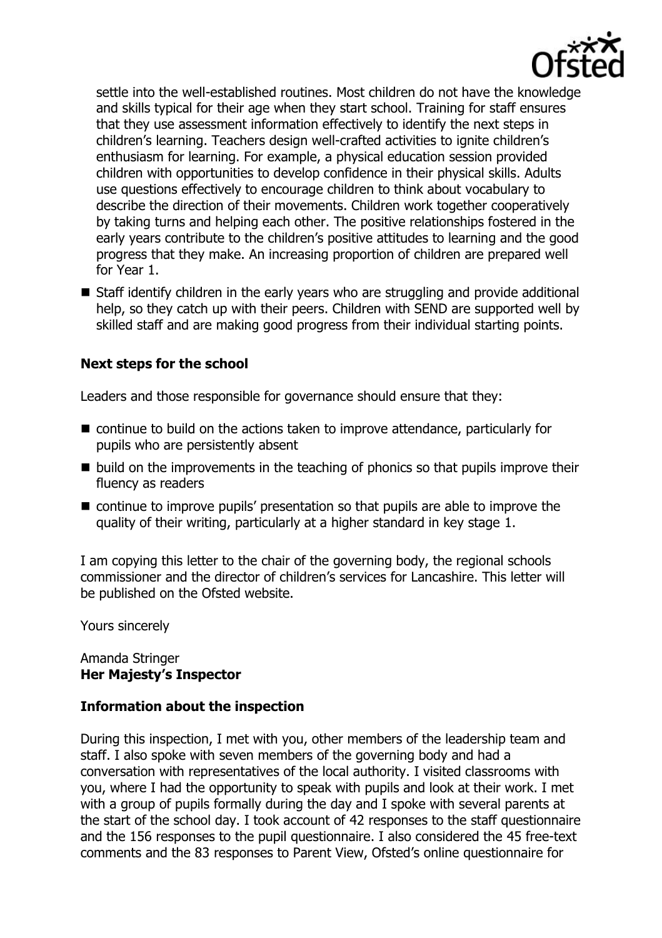

settle into the well-established routines. Most children do not have the knowledge and skills typical for their age when they start school. Training for staff ensures that they use assessment information effectively to identify the next steps in children's learning. Teachers design well-crafted activities to ignite children's enthusiasm for learning. For example, a physical education session provided children with opportunities to develop confidence in their physical skills. Adults use questions effectively to encourage children to think about vocabulary to describe the direction of their movements. Children work together cooperatively by taking turns and helping each other. The positive relationships fostered in the early years contribute to the children's positive attitudes to learning and the good progress that they make. An increasing proportion of children are prepared well for Year 1.

■ Staff identify children in the early years who are struggling and provide additional help, so they catch up with their peers. Children with SEND are supported well by skilled staff and are making good progress from their individual starting points.

# **Next steps for the school**

Leaders and those responsible for governance should ensure that they:

- continue to build on the actions taken to improve attendance, particularly for pupils who are persistently absent
- $\blacksquare$  build on the improvements in the teaching of phonics so that pupils improve their fluency as readers
- continue to improve pupils' presentation so that pupils are able to improve the quality of their writing, particularly at a higher standard in key stage 1.

I am copying this letter to the chair of the governing body, the regional schools commissioner and the director of children's services for Lancashire. This letter will be published on the Ofsted website.

Yours sincerely

#### Amanda Stringer **Her Majesty's Inspector**

## **Information about the inspection**

During this inspection, I met with you, other members of the leadership team and staff. I also spoke with seven members of the governing body and had a conversation with representatives of the local authority. I visited classrooms with you, where I had the opportunity to speak with pupils and look at their work. I met with a group of pupils formally during the day and I spoke with several parents at the start of the school day. I took account of 42 responses to the staff questionnaire and the 156 responses to the pupil questionnaire. I also considered the 45 free-text comments and the 83 responses to Parent View, Ofsted's online questionnaire for